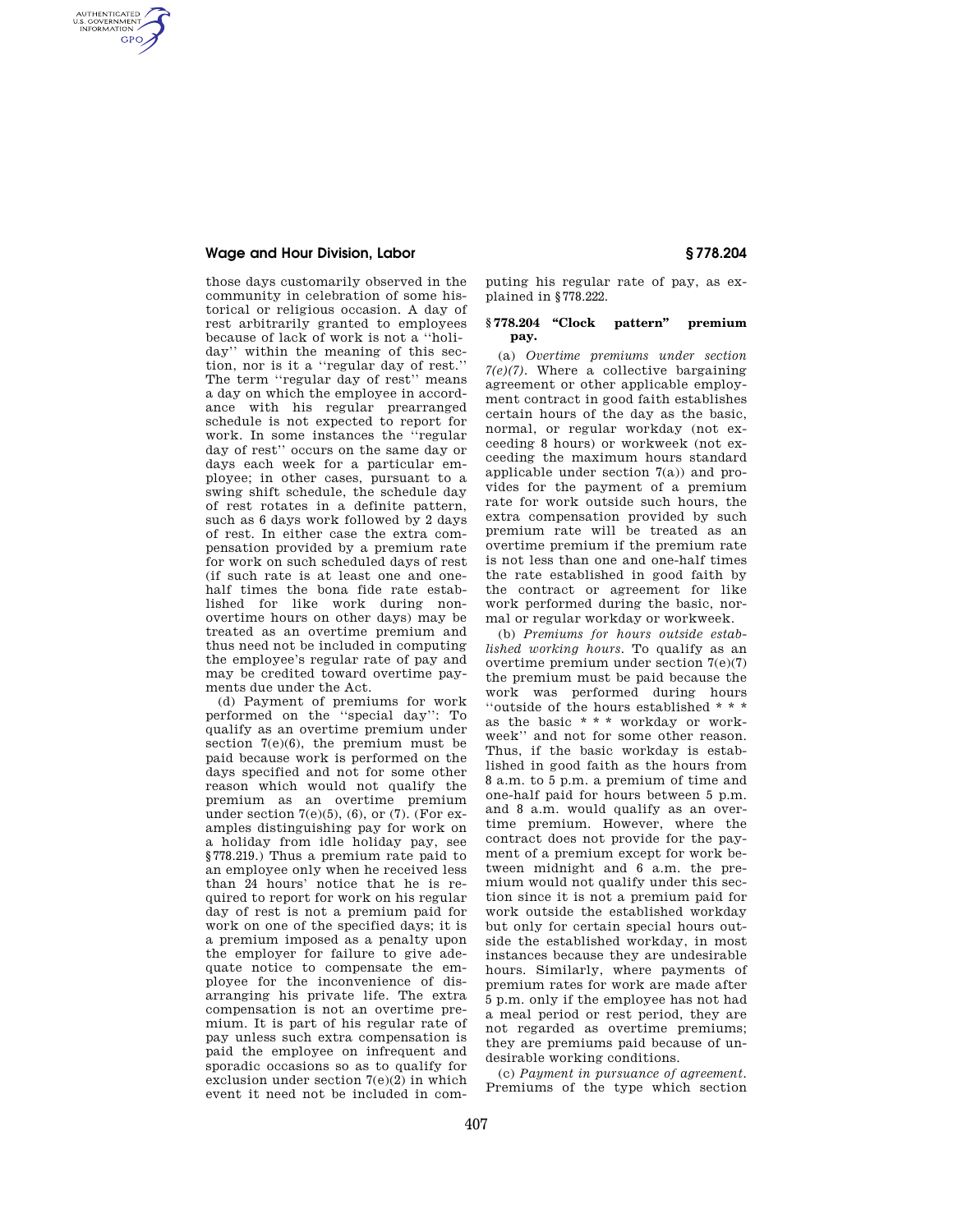### **Wage and Hour Division, Labor § 778.204**

AUTHENTICATED<br>U.S. GOVERNMENT<br>INFORMATION **GPO** 

> those days customarily observed in the community in celebration of some historical or religious occasion. A day of rest arbitrarily granted to employees because of lack of work is not a ''holiday'' within the meaning of this section, nor is it a ''regular day of rest.'' The term ''regular day of rest'' means a day on which the employee in accordance with his regular prearranged schedule is not expected to report for work. In some instances the ''regular day of rest'' occurs on the same day or days each week for a particular employee; in other cases, pursuant to a swing shift schedule, the schedule day of rest rotates in a definite pattern, such as 6 days work followed by 2 days of rest. In either case the extra compensation provided by a premium rate for work on such scheduled days of rest (if such rate is at least one and onehalf times the bona fide rate established for like work during nonovertime hours on other days) may be treated as an overtime premium and thus need not be included in computing the employee's regular rate of pay and may be credited toward overtime payments due under the Act.

> (d) Payment of premiums for work performed on the ''special day'': To qualify as an overtime premium under section  $7(e)(6)$ , the premium must be paid because work is performed on the days specified and not for some other reason which would not qualify the premium as an overtime premium under section  $7(e)(5)$ ,  $(6)$ , or  $(7)$ . (For examples distinguishing pay for work on a holiday from idle holiday pay, see §778.219.) Thus a premium rate paid to an employee only when he received less than 24 hours' notice that he is required to report for work on his regular day of rest is not a premium paid for work on one of the specified days; it is a premium imposed as a penalty upon the employer for failure to give adequate notice to compensate the employee for the inconvenience of disarranging his private life. The extra compensation is not an overtime premium. It is part of his regular rate of pay unless such extra compensation is paid the employee on infrequent and sporadic occasions so as to qualify for exclusion under section 7(e)(2) in which event it need not be included in com-

puting his regular rate of pay, as explained in §778.222.

#### **§ 778.204 ''Clock pattern'' premium pay.**

(a) *Overtime premiums under section 7(e)(7).* Where a collective bargaining agreement or other applicable employment contract in good faith establishes certain hours of the day as the basic, normal, or regular workday (not exceeding 8 hours) or workweek (not exceeding the maximum hours standard applicable under section 7(a)) and provides for the payment of a premium rate for work outside such hours, the extra compensation provided by such premium rate will be treated as an overtime premium if the premium rate is not less than one and one-half times the rate established in good faith by the contract or agreement for like work performed during the basic, normal or regular workday or workweek.

(b) *Premiums for hours outside established working hours.* To qualify as an overtime premium under section 7(e)(7) the premium must be paid because the work was performed during hours ''outside of the hours established \* \* \* as the basic \* \* \* workday or workweek'' and not for some other reason. Thus, if the basic workday is established in good faith as the hours from 8 a.m. to 5 p.m. a premium of time and one-half paid for hours between 5 p.m. and 8 a.m. would qualify as an overtime premium. However, where the contract does not provide for the payment of a premium except for work between midnight and 6 a.m. the premium would not qualify under this section since it is not a premium paid for work outside the established workday but only for certain special hours outside the established workday, in most instances because they are undesirable hours. Similarly, where payments of premium rates for work are made after 5 p.m. only if the employee has not had a meal period or rest period, they are not regarded as overtime premiums; they are premiums paid because of undesirable working conditions.

(c) *Payment in pursuance of agreement.*  Premiums of the type which section